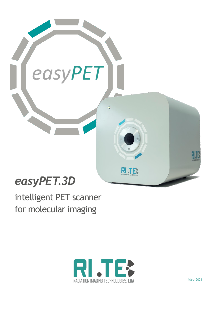

# *easyPET.3D*

intelligent PET scanner for molecular imaging



March 2021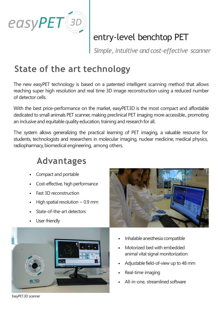

# entry-level benchtop PET

*Simple, intuitive and cost-effective scanner*

### **State of the art technology**

The new easyPET technology is based on a patented intelligent scanning method that allows reaching super high resolution and real time 3D image reconstruction using a reduced number of detector cells.

With the best price-performance on the market, easyPET.3D is the most compact and affordable dedicated to small animals PET scanner, making preclinical PET imaging more accessible., promoting an inclusive and equitable quality education, training and research for all.

The system allows generalizing the practical learning of PET imaging, a valuable resource for students, technologists and researchers in molecular imaging, nuclear medicine, medical physics, radiopharmacy, biomedical engineering, among others.

### **Advantages**

- Compact and portable
- Cost-effective, high performance
- Fast 3D reconstruction
- High spatial resolution  $\sim$  0.9 mm
- State-of-the-art detectors
- User-friendly





- Inhalable anesthesia compatible
- Motorized bed with embedded animal vital signal monitorization
- Adjustable field-of-view up to 48 mm
- Real-time imaging
- All-in-one, streamlined software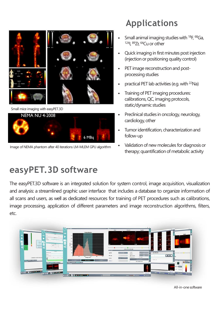

Small mice imaging with easyPET.3D



Image of NEMA phantom after 40 iterations LM-MLEM GPU algorithm

### **easyPET.3D software**

# **Applications**

- Small animal imaging studies with <sup>18</sup>F, <sup>68</sup>Ga, <sup>124</sup>I, <sup>89</sup>Zr, <sup>64</sup>Cu or other
- Quick imaging in first minutes post injection (injection or positioning quality control)
- PET image reconstruction and postprocessing studies
- practical PET lab activities (e.g. with <sup>22</sup>Na)
- Training of PET imaging procedures: calibrations, QC, imaging protocols, static/dynamic studies
- Preclinical studies in oncology, neurology, cardiology, other
- Tumor identification, characterization and follow-up
- Validation of new molecules for diagnosis or therapy; quantification of metabolic activity

The easyPET.3D software is an integrated solution for system control, image acquisition, visualization and analysis: a streamlined graphic user interface that includes a database to organize information of all scans and users, as well as dedicated resources for training of PET procedures such as calibrations, image processing, application of different parameters and image reconstruction algorithms, filters, etc.



All-in-onesoftware